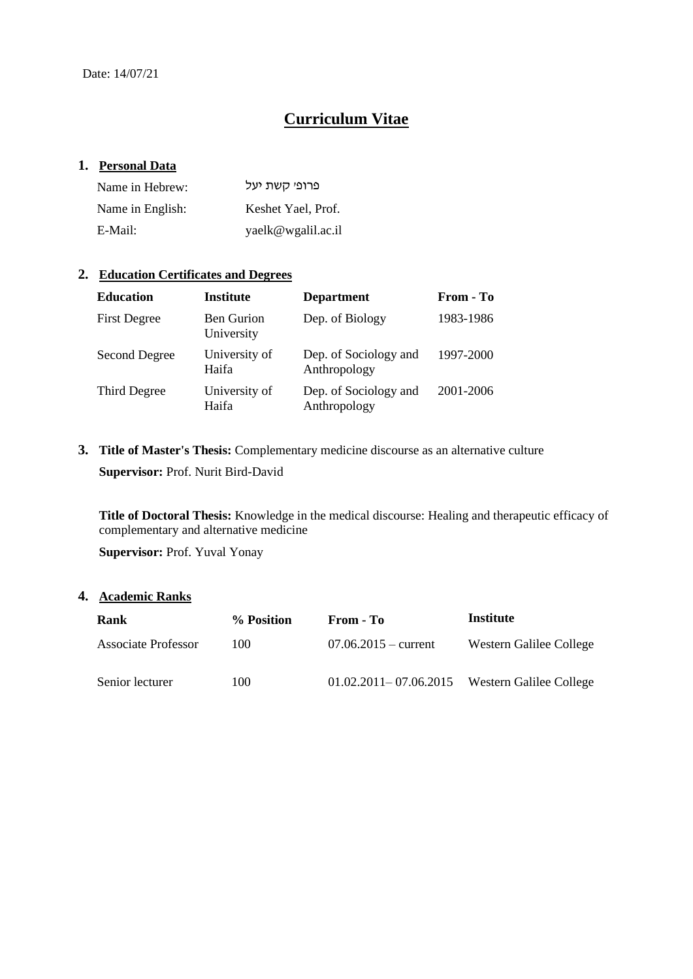# **Curriculum Vitae**

## **1. Personal Data**

| Name in Hebrew:  | פרופי קשת יעל      |
|------------------|--------------------|
| Name in English: | Keshet Yael, Prof. |
| E-Mail:          | yaelk@wgalil.ac.il |

## **2. Education Certificates and Degrees**

| <b>Education</b>     | <b>Institute</b>                | <b>Department</b>                     | From - To |
|----------------------|---------------------------------|---------------------------------------|-----------|
| <b>First Degree</b>  | <b>Ben Gurion</b><br>University | Dep. of Biology                       | 1983-1986 |
| <b>Second Degree</b> | University of<br>Haifa          | Dep. of Sociology and<br>Anthropology | 1997-2000 |
| Third Degree         | University of<br>Haifa          | Dep. of Sociology and<br>Anthropology | 2001-2006 |

**3. Title of Master's Thesis:** Complementary medicine discourse as an alternative culture **Supervisor:** Prof. Nurit Bird-David

**Title of Doctoral Thesis:** Knowledge in the medical discourse: Healing and therapeutic efficacy of complementary and alternative medicine

**Supervisor:** Prof. Yuval Yonay

## **4. Academic Ranks**

| Rank                | % Position | From - To                                         | Institute               |
|---------------------|------------|---------------------------------------------------|-------------------------|
| Associate Professor | 100        | $07.06.2015 - current$                            | Western Galilee College |
| Senior lecturer     | 100        | $01.02.2011 - 07.06.2015$ Western Galilee College |                         |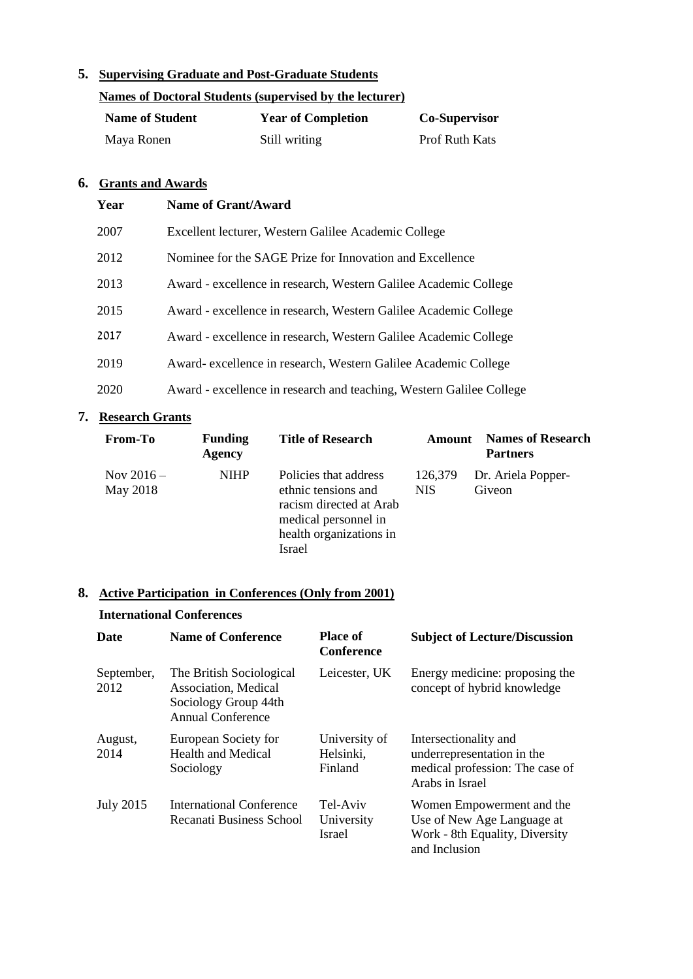# **5. Supervising Graduate and Post-Graduate Students**

| Names of Doctoral Students (supervised by the lecturer) |                           |                       |
|---------------------------------------------------------|---------------------------|-----------------------|
| <b>Name of Student</b>                                  | <b>Year of Completion</b> | <b>Co-Supervisor</b>  |
| Maya Ronen                                              | Still writing             | <b>Prof Ruth Kats</b> |

#### **6. Grants and Awards**

| Year | Name of Grant/Award                                                  |
|------|----------------------------------------------------------------------|
| 2007 | Excellent lecturer, Western Galilee Academic College                 |
| 2012 | Nominee for the SAGE Prize for Innovation and Excellence             |
| 2013 | Award - excellence in research, Western Galilee Academic College     |
| 2015 | Award - excellence in research, Western Galilee Academic College     |
| 2017 | Award - excellence in research, Western Galilee Academic College     |
| 2019 | Award- excellence in research, Western Galilee Academic College      |
| 2020 | Award - excellence in research and teaching, Western Galilee College |

# **7. Research Grants**

| From-To                  | <b>Funding</b><br><b>Agency</b> | <b>Title of Research</b>                                                                                                             | Amount                | <b>Names of Research</b><br><b>Partners</b> |
|--------------------------|---------------------------------|--------------------------------------------------------------------------------------------------------------------------------------|-----------------------|---------------------------------------------|
| Nov $2016 -$<br>May 2018 | <b>NIHP</b>                     | Policies that address<br>ethnic tensions and<br>racism directed at Arab<br>medical personnel in<br>health organizations in<br>Israel | 126,379<br><b>NIS</b> | Dr. Ariela Popper-<br>Giveon                |

# **8. Active Participation in Conferences (Only from 2001)**

#### **International Conferences**

| Date               | <b>Name of Conference</b>                                                                     | <b>Place of</b><br><b>Conference</b>    | <b>Subject of Lecture/Discussion</b>                                                                       |
|--------------------|-----------------------------------------------------------------------------------------------|-----------------------------------------|------------------------------------------------------------------------------------------------------------|
| September,<br>2012 | The British Sociological<br>Association, Medical<br>Sociology Group 44th<br>Annual Conference | Leicester, UK                           | Energy medicine: proposing the<br>concept of hybrid knowledge                                              |
| August,<br>2014    | European Society for<br><b>Health and Medical</b><br>Sociology                                | University of<br>Helsinki,<br>Finland   | Intersectionality and<br>underrepresentation in the<br>medical profession: The case of<br>Arabs in Israel  |
| <b>July 2015</b>   | International Conference<br>Recanati Business School                                          | Tel-Aviv<br>University<br><b>Israel</b> | Women Empowerment and the<br>Use of New Age Language at<br>Work - 8th Equality, Diversity<br>and Inclusion |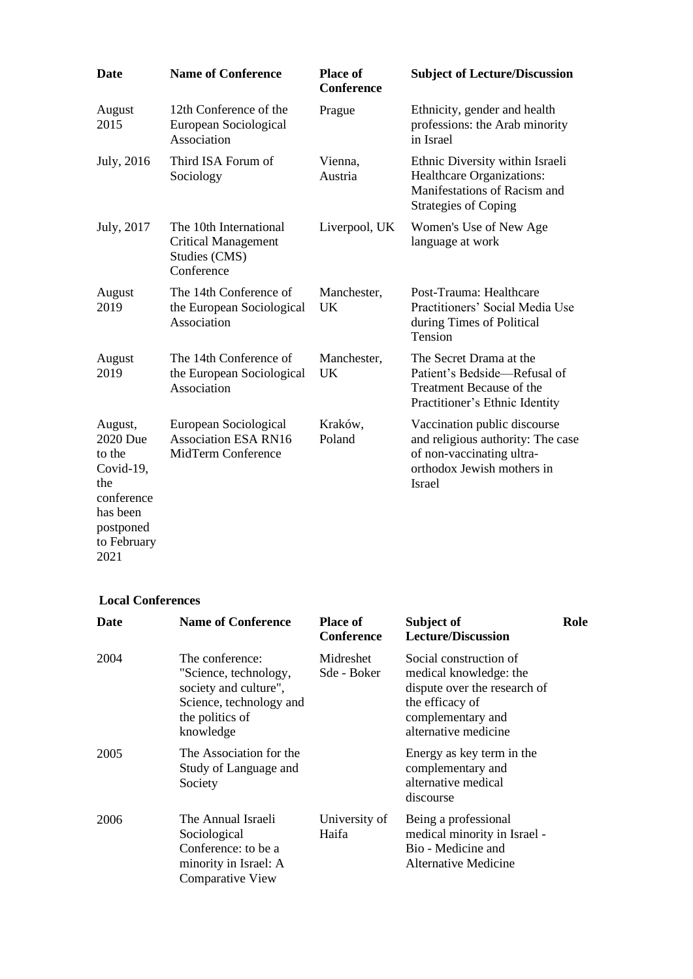| <b>Date</b>                                                                 | <b>Name of Conference</b>                                                           | <b>Place of</b><br><b>Conference</b> | <b>Subject of Lecture/Discussion</b>                                                                                                          |
|-----------------------------------------------------------------------------|-------------------------------------------------------------------------------------|--------------------------------------|-----------------------------------------------------------------------------------------------------------------------------------------------|
| August<br>2015                                                              | 12th Conference of the<br>European Sociological<br>Association                      | Prague                               | Ethnicity, gender and health<br>professions: the Arab minority<br>in Israel                                                                   |
| July, 2016                                                                  | Third ISA Forum of<br>Sociology                                                     | Vienna,<br>Austria                   | Ethnic Diversity within Israeli<br><b>Healthcare Organizations:</b><br>Manifestations of Racism and<br><b>Strategies of Coping</b>            |
| July, 2017                                                                  | The 10th International<br><b>Critical Management</b><br>Studies (CMS)<br>Conference | Liverpool, UK                        | Women's Use of New Age<br>language at work                                                                                                    |
| August<br>2019                                                              | The 14th Conference of<br>the European Sociological<br>Association                  | Manchester,<br><b>UK</b>             | Post-Trauma: Healthcare<br>Practitioners' Social Media Use<br>during Times of Political<br>Tension                                            |
| August<br>2019                                                              | The 14th Conference of<br>the European Sociological<br>Association                  | Manchester,<br>UK                    | The Secret Drama at the<br>Patient's Bedside—Refusal of<br>Treatment Because of the<br>Practitioner's Ethnic Identity                         |
| August,<br>2020 Due<br>to the<br>Covid-19,<br>the<br>conference<br>has been | European Sociological<br><b>Association ESA RN16</b><br>MidTerm Conference          | Kraków,<br>Poland                    | Vaccination public discourse<br>and religious authority: The case<br>of non-vaccinating ultra-<br>orthodox Jewish mothers in<br><b>Israel</b> |
| postponed<br>to February                                                    |                                                                                     |                                      |                                                                                                                                               |

#### **Local Conferences**

2021

| <b>Date</b> | <b>Name of Conference</b>                                                                                                    | <b>Place of</b><br><b>Conference</b> | Subject of<br><b>Lecture/Discussion</b>                                                                                                          | Role |
|-------------|------------------------------------------------------------------------------------------------------------------------------|--------------------------------------|--------------------------------------------------------------------------------------------------------------------------------------------------|------|
| 2004        | The conference:<br>"Science, technology,<br>society and culture",<br>Science, technology and<br>the politics of<br>knowledge | Midreshet<br>Sde - Boker             | Social construction of<br>medical knowledge: the<br>dispute over the research of<br>the efficacy of<br>complementary and<br>alternative medicine |      |
| 2005        | The Association for the<br>Study of Language and<br>Society                                                                  |                                      | Energy as key term in the<br>complementary and<br>alternative medical<br>discourse                                                               |      |
| 2006        | The Annual Israeli<br>Sociological<br>Conference: to be a<br>minority in Israel: A<br><b>Comparative View</b>                | University of<br>Haifa               | Being a professional<br>medical minority in Israel -<br>Bio - Medicine and<br>Alternative Medicine                                               |      |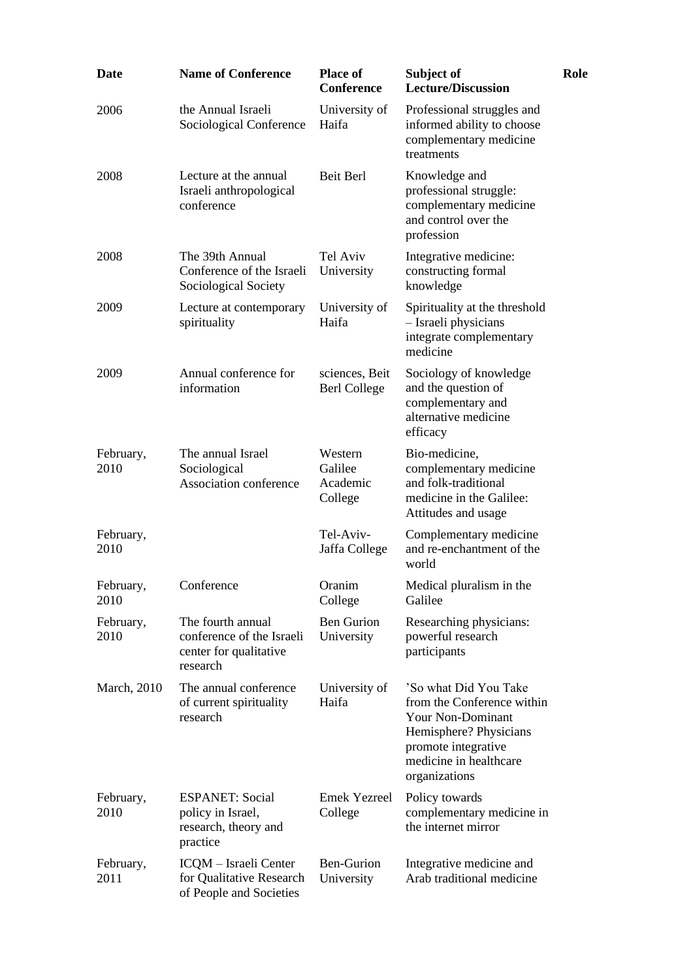| <b>Date</b>       | <b>Name of Conference</b>                                                            | <b>Place of</b><br><b>Conference</b>      | Subject of<br><b>Lecture/Discussion</b>                                                                                                                              | Role |
|-------------------|--------------------------------------------------------------------------------------|-------------------------------------------|----------------------------------------------------------------------------------------------------------------------------------------------------------------------|------|
| 2006              | the Annual Israeli<br>Sociological Conference                                        | University of<br>Haifa                    | Professional struggles and<br>informed ability to choose<br>complementary medicine<br>treatments                                                                     |      |
| 2008              | Lecture at the annual<br>Israeli anthropological<br>conference                       | Beit Berl                                 | Knowledge and<br>professional struggle:<br>complementary medicine<br>and control over the<br>profession                                                              |      |
| 2008              | The 39th Annual<br>Conference of the Israeli<br>Sociological Society                 | Tel Aviv<br>University                    | Integrative medicine:<br>constructing formal<br>knowledge                                                                                                            |      |
| 2009              | Lecture at contemporary<br>spirituality                                              | University of<br>Haifa                    | Spirituality at the threshold<br>- Israeli physicians<br>integrate complementary<br>medicine                                                                         |      |
| 2009              | Annual conference for<br>information                                                 | sciences, Beit<br><b>Berl College</b>     | Sociology of knowledge<br>and the question of<br>complementary and<br>alternative medicine<br>efficacy                                                               |      |
| February,<br>2010 | The annual Israel<br>Sociological<br>Association conference                          | Western<br>Galilee<br>Academic<br>College | Bio-medicine,<br>complementary medicine<br>and folk-traditional<br>medicine in the Galilee:<br>Attitudes and usage                                                   |      |
| February,<br>2010 |                                                                                      | Tel-Aviv-<br>Jaffa College                | Complementary medicine<br>and re-enchantment of the<br>world                                                                                                         |      |
| February,<br>2010 | Conference                                                                           | Oranim<br>College                         | Medical pluralism in the<br>Galilee                                                                                                                                  |      |
| February,<br>2010 | The fourth annual<br>conference of the Israeli<br>center for qualitative<br>research | <b>Ben Gurion</b><br>University           | Researching physicians:<br>powerful research<br>participants                                                                                                         |      |
| March, 2010       | The annual conference<br>of current spirituality<br>research                         | University of<br>Haifa                    | 'So what Did You Take<br>from the Conference within<br>Your Non-Dominant<br>Hemisphere? Physicians<br>promote integrative<br>medicine in healthcare<br>organizations |      |
| February,<br>2010 | <b>ESPANET: Social</b><br>policy in Israel,<br>research, theory and<br>practice      | <b>Emek Yezreel</b><br>College            | Policy towards<br>complementary medicine in<br>the internet mirror                                                                                                   |      |
| February,<br>2011 | ICQM - Israeli Center<br>for Qualitative Research<br>of People and Societies         | <b>Ben-Gurion</b><br>University           | Integrative medicine and<br>Arab traditional medicine                                                                                                                |      |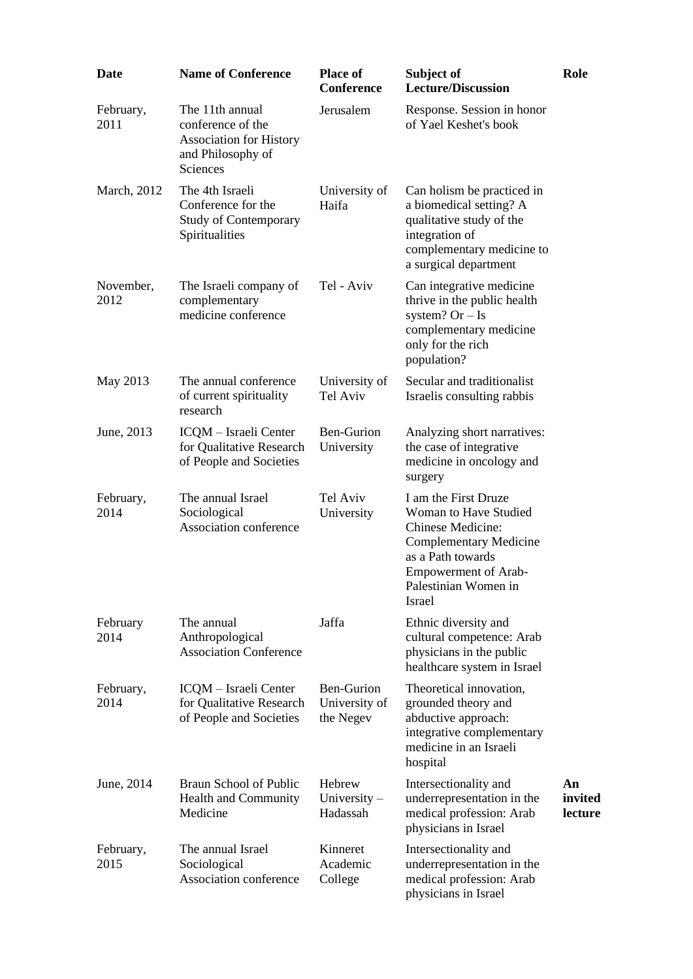| <b>Date</b>       | <b>Name of Conference</b>                                                                               | <b>Place of</b><br><b>Conference</b>            | Subject of<br><b>Lecture/Discussion</b>                                                                                                                                                          | Role                     |
|-------------------|---------------------------------------------------------------------------------------------------------|-------------------------------------------------|--------------------------------------------------------------------------------------------------------------------------------------------------------------------------------------------------|--------------------------|
| February,<br>2011 | The 11th annual<br>conference of the<br><b>Association for History</b><br>and Philosophy of<br>Sciences | Jerusalem                                       | Response. Session in honor<br>of Yael Keshet's book                                                                                                                                              |                          |
| March, 2012       | The 4th Israeli<br>Conference for the<br><b>Study of Contemporary</b><br>Spiritualities                 | University of<br>Haifa                          | Can holism be practiced in<br>a biomedical setting? A<br>qualitative study of the<br>integration of<br>complementary medicine to<br>a surgical department                                        |                          |
| November,<br>2012 | The Israeli company of<br>complementary<br>medicine conference                                          | Tel - Aviv                                      | Can integrative medicine<br>thrive in the public health<br>system? $Or - Is$<br>complementary medicine<br>only for the rich<br>population?                                                       |                          |
| May 2013          | The annual conference<br>of current spirituality<br>research                                            | University of<br>Tel Aviv                       | Secular and traditionalist<br>Israelis consulting rabbis                                                                                                                                         |                          |
| June, 2013        | ICQM - Israeli Center<br>for Qualitative Research<br>of People and Societies                            | <b>Ben-Gurion</b><br>University                 | Analyzing short narratives:<br>the case of integrative<br>medicine in oncology and<br>surgery                                                                                                    |                          |
| February,<br>2014 | The annual Israel<br>Sociological<br>Association conference                                             | Tel Aviv<br>University                          | I am the First Druze<br>Woman to Have Studied<br><b>Chinese Medicine:</b><br><b>Complementary Medicine</b><br>as a Path towards<br><b>Empowerment of Arab-</b><br>Palestinian Women in<br>Israel |                          |
| February<br>2014  | The annual<br>Anthropological<br><b>Association Conference</b>                                          | Jaffa                                           | Ethnic diversity and<br>cultural competence: Arab<br>physicians in the public<br>healthcare system in Israel                                                                                     |                          |
| February,<br>2014 | ICQM - Israeli Center<br>for Qualitative Research<br>of People and Societies                            | <b>Ben-Gurion</b><br>University of<br>the Negev | Theoretical innovation,<br>grounded theory and<br>abductive approach:<br>integrative complementary<br>medicine in an Israeli<br>hospital                                                         |                          |
| June, 2014        | Braun School of Public<br><b>Health and Community</b><br>Medicine                                       | Hebrew<br>University $-$<br>Hadassah            | Intersectionality and<br>underrepresentation in the<br>medical profession: Arab<br>physicians in Israel                                                                                          | An<br>invited<br>lecture |
| February,<br>2015 | The annual Israel<br>Sociological<br>Association conference                                             | Kinneret<br>Academic<br>College                 | Intersectionality and<br>underrepresentation in the<br>medical profession: Arab<br>physicians in Israel                                                                                          |                          |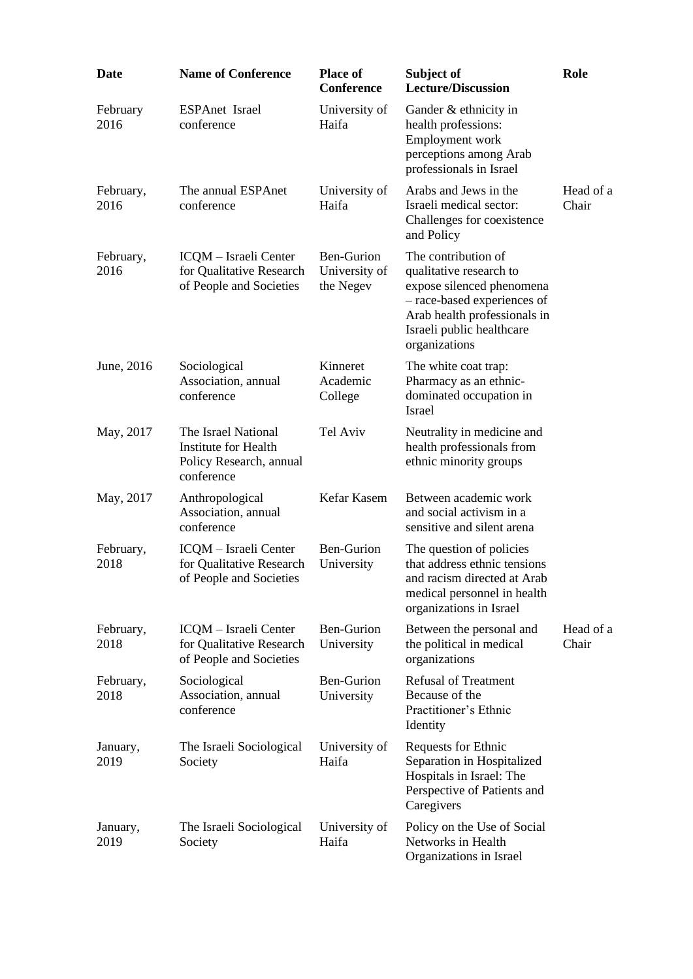| <b>Date</b>       | <b>Name of Conference</b>                                                                   | <b>Place of</b><br><b>Conference</b>     | Subject of<br><b>Lecture/Discussion</b>                                                                                                                                                  | Role               |
|-------------------|---------------------------------------------------------------------------------------------|------------------------------------------|------------------------------------------------------------------------------------------------------------------------------------------------------------------------------------------|--------------------|
| February<br>2016  | ESPAnet Israel<br>conference                                                                | University of<br>Haifa                   | Gander & ethnicity in<br>health professions:<br>Employment work<br>perceptions among Arab<br>professionals in Israel                                                                     |                    |
| February,<br>2016 | The annual ESPAnet<br>conference                                                            | University of<br>Haifa                   | Arabs and Jews in the<br>Israeli medical sector:<br>Challenges for coexistence<br>and Policy                                                                                             | Head of a<br>Chair |
| February,<br>2016 | ICQM - Israeli Center<br>for Qualitative Research<br>of People and Societies                | Ben-Gurion<br>University of<br>the Negev | The contribution of<br>qualitative research to<br>expose silenced phenomena<br>- race-based experiences of<br>Arab health professionals in<br>Israeli public healthcare<br>organizations |                    |
| June, 2016        | Sociological<br>Association, annual<br>conference                                           | Kinneret<br>Academic<br>College          | The white coat trap:<br>Pharmacy as an ethnic-<br>dominated occupation in<br>Israel                                                                                                      |                    |
| May, 2017         | The Israel National<br><b>Institute for Health</b><br>Policy Research, annual<br>conference | Tel Aviv                                 | Neutrality in medicine and<br>health professionals from<br>ethnic minority groups                                                                                                        |                    |
| May, 2017         | Anthropological<br>Association, annual<br>conference                                        | Kefar Kasem                              | Between academic work<br>and social activism in a<br>sensitive and silent arena                                                                                                          |                    |
| February,<br>2018 | ICQM - Israeli Center<br>for Qualitative Research<br>of People and Societies                | Ben-Gurion<br>University                 | The question of policies<br>that address ethnic tensions<br>and racism directed at Arab<br>medical personnel in health<br>organizations in Israel                                        |                    |
| February,<br>2018 | ICQM - Israeli Center<br>for Qualitative Research<br>of People and Societies                | <b>Ben-Gurion</b><br>University          | Between the personal and<br>the political in medical<br>organizations                                                                                                                    | Head of a<br>Chair |
| February,<br>2018 | Sociological<br>Association, annual<br>conference                                           | <b>Ben-Gurion</b><br>University          | <b>Refusal of Treatment</b><br>Because of the<br>Practitioner's Ethnic<br>Identity                                                                                                       |                    |
| January,<br>2019  | The Israeli Sociological<br>Society                                                         | University of<br>Haifa                   | Requests for Ethnic<br>Separation in Hospitalized<br>Hospitals in Israel: The<br>Perspective of Patients and<br>Caregivers                                                               |                    |
| January,<br>2019  | The Israeli Sociological<br>Society                                                         | University of<br>Haifa                   | Policy on the Use of Social<br>Networks in Health<br>Organizations in Israel                                                                                                             |                    |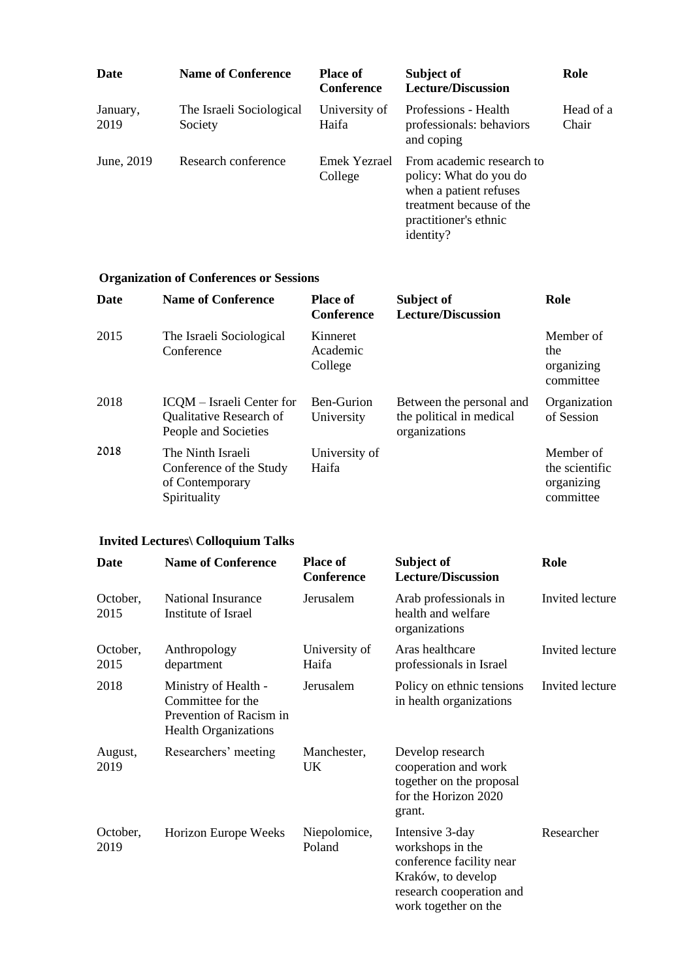| Date             | <b>Name of Conference</b>           | <b>Place of</b><br><b>Conference</b> | Subject of<br><b>Lecture/Discussion</b>                                                                                                         | Role               |
|------------------|-------------------------------------|--------------------------------------|-------------------------------------------------------------------------------------------------------------------------------------------------|--------------------|
| January,<br>2019 | The Israeli Sociological<br>Society | University of<br>Haifa               | Professions - Health<br>professionals: behaviors<br>and coping                                                                                  | Head of a<br>Chair |
| June, 2019       | Research conference                 | Emek Yezrael<br>College              | From academic research to<br>policy: What do you do<br>when a patient refuses<br>treatment because of the<br>practitioner's ethnic<br>identity? |                    |

# **Organization of Conferences or Sessions**

| <b>Date</b> | <b>Name of Conference</b>                                                       | <b>Place of</b><br><b>Conference</b> | Subject of<br><b>Lecture/Discussion</b>                               | Role                                                   |
|-------------|---------------------------------------------------------------------------------|--------------------------------------|-----------------------------------------------------------------------|--------------------------------------------------------|
| 2015        | The Israeli Sociological<br>Conference                                          | Kinneret<br>Academic<br>College      |                                                                       | Member of<br>the<br>organizing<br>committee            |
| 2018        | ICOM – Israeli Center for<br>Qualitative Research of<br>People and Societies    | Ben-Gurion<br>University             | Between the personal and<br>the political in medical<br>organizations | Organization<br>of Session                             |
| 2018        | The Ninth Israeli<br>Conference of the Study<br>of Contemporary<br>Spirituality | University of<br>Haifa               |                                                                       | Member of<br>the scientific<br>organizing<br>committee |

# **Invited Lectures\ Colloquium Talks**

| <b>Date</b>      | <b>Name of Conference</b>                                                                           | <b>Place of</b><br>Conference | Subject of<br><b>Lecture/Discussion</b>                                                                                                   | Role            |
|------------------|-----------------------------------------------------------------------------------------------------|-------------------------------|-------------------------------------------------------------------------------------------------------------------------------------------|-----------------|
| October,<br>2015 | National Insurance<br>Institute of Israel                                                           | Jerusalem                     | Arab professionals in<br>health and welfare<br>organizations                                                                              | Invited lecture |
| October,<br>2015 | Anthropology<br>department                                                                          | University of<br>Haifa        | Aras healthcare<br>professionals in Israel                                                                                                | Invited lecture |
| 2018             | Ministry of Health -<br>Committee for the<br>Prevention of Racism in<br><b>Health Organizations</b> | Jerusalem                     | Policy on ethnic tensions<br>in health organizations                                                                                      | Invited lecture |
| August,<br>2019  | Researchers' meeting                                                                                | Manchester,<br><b>UK</b>      | Develop research<br>cooperation and work<br>together on the proposal<br>for the Horizon 2020<br>grant.                                    |                 |
| October,<br>2019 | Horizon Europe Weeks                                                                                | Niepolomice,<br>Poland        | Intensive 3-day<br>workshops in the<br>conference facility near<br>Kraków, to develop<br>research cooperation and<br>work together on the | Researcher      |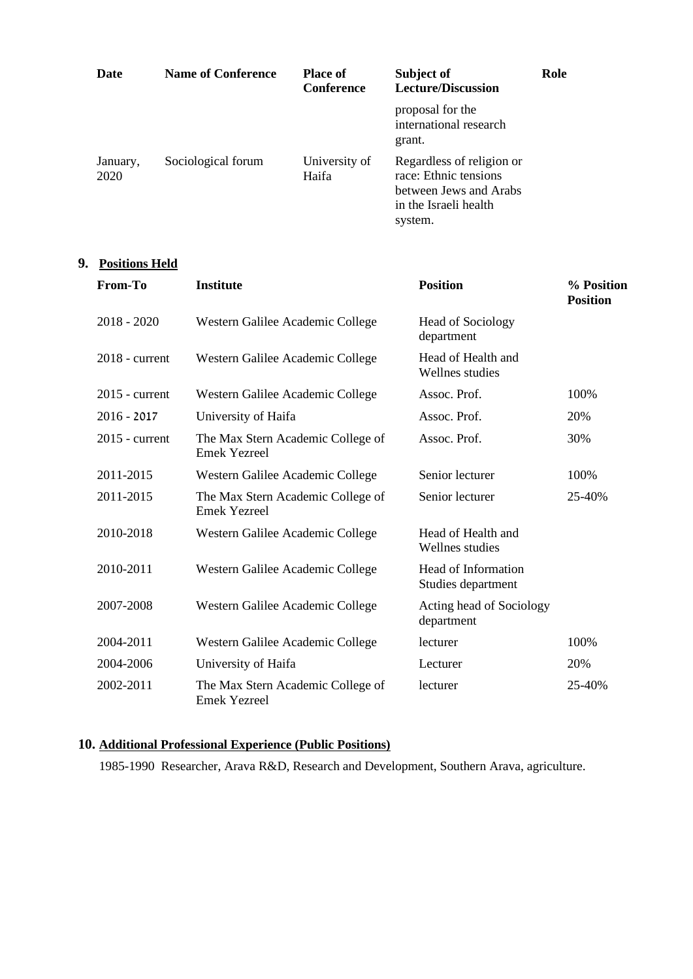| Date             | <b>Name of Conference</b> | <b>Place of</b><br>Conference | Subject of<br><b>Lecture/Discussion</b>                                                                          | Role |
|------------------|---------------------------|-------------------------------|------------------------------------------------------------------------------------------------------------------|------|
|                  |                           |                               | proposal for the<br>international research<br>grant.                                                             |      |
| January,<br>2020 | Sociological forum        | University of<br>Haifa        | Regardless of religion or<br>race: Ethnic tensions<br>between Jews and Arabs<br>in the Israeli health<br>system. |      |

## **9. Positions Held**

| From-To          | <b>Institute</b>                                         | <b>Position</b>                           | % Position<br><b>Position</b> |
|------------------|----------------------------------------------------------|-------------------------------------------|-------------------------------|
| $2018 - 2020$    | Western Galilee Academic College                         | <b>Head of Sociology</b><br>department    |                               |
| $2018$ - current | Western Galilee Academic College                         | Head of Health and<br>Wellnes studies     |                               |
| $2015$ - current | Western Galilee Academic College                         | Assoc. Prof.                              | 100%                          |
| $2016 - 2017$    | University of Haifa                                      | Assoc. Prof.                              | 20%                           |
| $2015$ - current | The Max Stern Academic College of<br><b>Emek Yezreel</b> | Assoc. Prof.                              | 30%                           |
| 2011-2015        | Western Galilee Academic College                         | Senior lecturer                           | 100%                          |
| 2011-2015        | The Max Stern Academic College of<br><b>Emek Yezreel</b> | Senior lecturer                           | 25-40%                        |
| 2010-2018        | Western Galilee Academic College                         | Head of Health and<br>Wellnes studies     |                               |
| 2010-2011        | Western Galilee Academic College                         | Head of Information<br>Studies department |                               |
| 2007-2008        | Western Galilee Academic College                         | Acting head of Sociology<br>department    |                               |
| 2004-2011        | Western Galilee Academic College                         | lecturer                                  | 100%                          |
| 2004-2006        | University of Haifa                                      | Lecturer                                  | 20%                           |
| 2002-2011        | The Max Stern Academic College of<br><b>Emek Yezreel</b> | lecturer                                  | 25-40%                        |

## **10. Additional Professional Experience (Public Positions)**

1985-1990 Researcher, Arava R&D, Research and Development, Southern Arava, agriculture.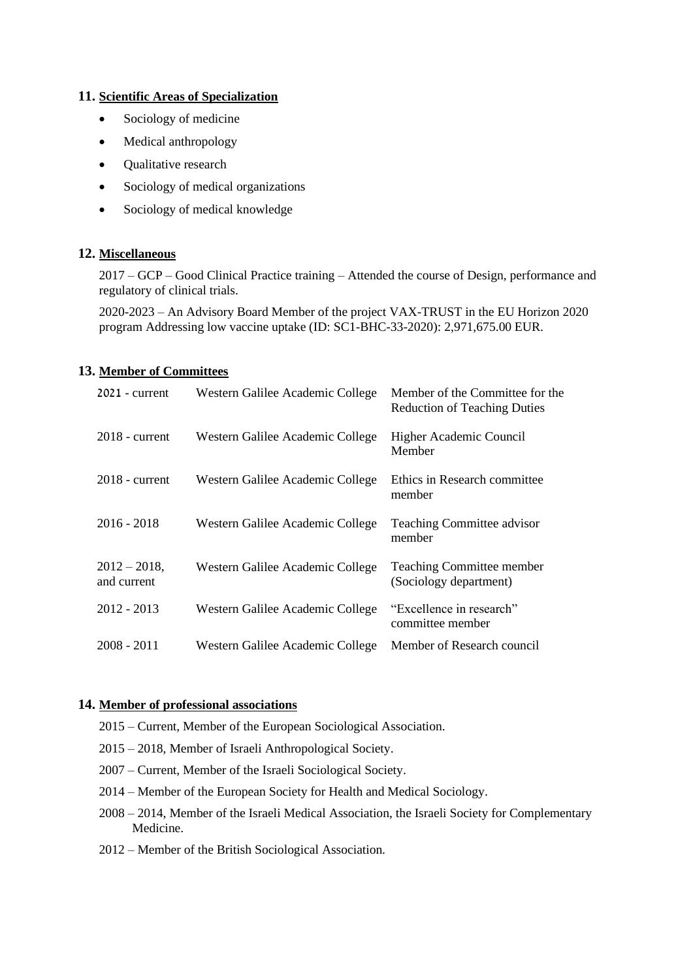#### **11. Scientific Areas of Specialization**

- Sociology of medicine
- Medical anthropology
- Qualitative research
- Sociology of medical organizations
- Sociology of medical knowledge

#### **12. Miscellaneous**

2017 – GCP – Good Clinical Practice training – Attended the course of Design, performance and regulatory of clinical trials.

2020-2023 – An Advisory Board Member of the project VAX-TRUST in the EU Horizon 2020 program Addressing low vaccine uptake (ID: SC1-BHC-33-2020): 2,971,675.00 EUR.

#### **13. Member of Committees**

| $2021$ - current               | Western Galilee Academic College | Member of the Committee for the<br><b>Reduction of Teaching Duties</b> |
|--------------------------------|----------------------------------|------------------------------------------------------------------------|
| $2018$ - current               | Western Galilee Academic College | Higher Academic Council<br>Member                                      |
| $2018$ - current               | Western Galilee Academic College | Ethics in Research committee<br>member                                 |
| $2016 - 2018$                  | Western Galilee Academic College | <b>Teaching Committee advisor</b><br>member                            |
| $2012 - 2018$ ,<br>and current | Western Galilee Academic College | <b>Teaching Committee member</b><br>(Sociology department)             |
| $2012 - 2013$                  | Western Galilee Academic College | "Excellence in research"<br>committee member                           |
| $2008 - 2011$                  | Western Galilee Academic College | Member of Research council                                             |

#### **14. Member of professional associations**

- 2015 Current, Member of the European Sociological Association.
- 2015 2018, Member of Israeli Anthropological Society.
- 2007 Current, Member of the Israeli Sociological Society.
- 2014 Member of the European Society for Health and Medical Sociology.
- 2008 2014, Member of the Israeli Medical Association, the Israeli Society for Complementary Medicine.
- 2012 Member of the British Sociological Association.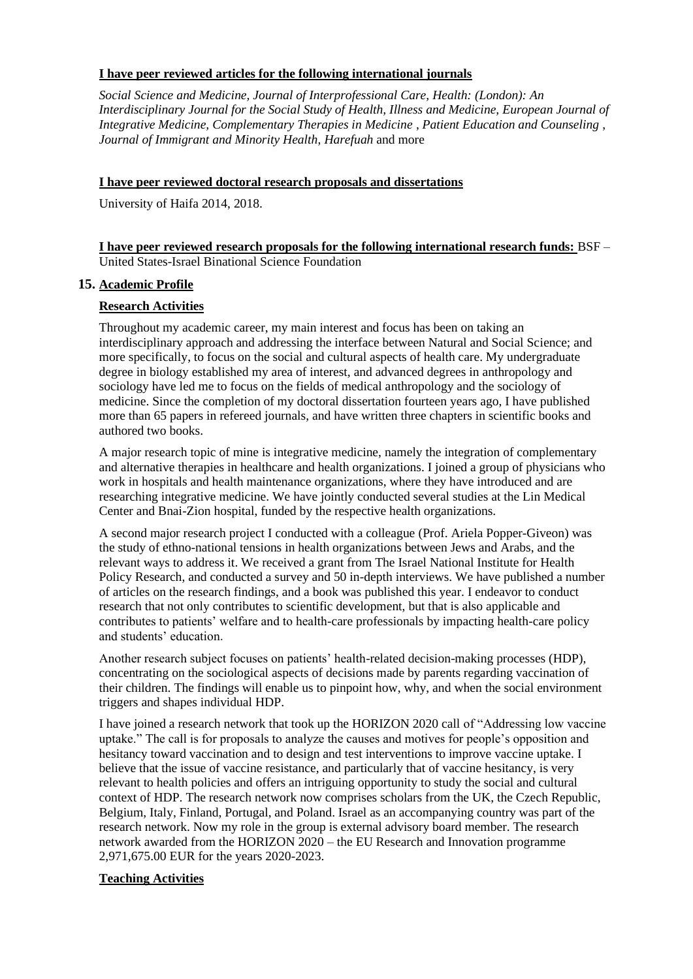#### **I have peer reviewed articles for the following international journals**

*Social Science and Medicine, Journal of Interprofessional Care, Health: (London): An Interdisciplinary Journal for the Social Study of Health, Illness and Medicine, European Journal of Integrative Medicine, Complementary Therapies in Medicine* , *Patient Education and Counseling* , *Journal of Immigrant and Minority Health*, *Harefuah* and more

#### **I have peer reviewed doctoral research proposals and dissertations**

University of Haifa 2014, 2018.

**I have peer reviewed research proposals for the following international research funds:** BSF – United States-Israel Binational Science Foundation

## **15. Academic Profile**

## **Research Activities**

Throughout my academic career, my main interest and focus has been on taking an interdisciplinary approach and addressing the interface between Natural and Social Science; and more specifically, to focus on the social and cultural aspects of health care. My undergraduate degree in biology established my area of interest, and advanced degrees in anthropology and sociology have led me to focus on the fields of medical anthropology and the sociology of medicine. Since the completion of my doctoral dissertation fourteen years ago, I have published more than 65 papers in refereed journals, and have written three chapters in scientific books and authored two books.

A major research topic of mine is integrative medicine, namely the integration of complementary and alternative therapies in healthcare and health organizations. I joined a group of physicians who work in hospitals and health maintenance organizations, where they have introduced and are researching integrative medicine. We have jointly conducted several studies at the Lin Medical Center and Bnai-Zion hospital, funded by the respective health organizations.

A second major research project I conducted with a colleague (Prof. Ariela Popper-Giveon) was the study of ethno-national tensions in health organizations between Jews and Arabs, and the relevant ways to address it. We received a grant from The Israel National Institute for Health Policy Research, and conducted a survey and 50 in-depth interviews. We have published a number of articles on the research findings, and a book was published this year. I endeavor to conduct research that not only contributes to scientific development, but that is also applicable and contributes to patients' welfare and to health-care professionals by impacting health-care policy and students' education.

Another research subject focuses on patients' health-related decision-making processes (HDP), concentrating on the sociological aspects of decisions made by parents regarding vaccination of their children. The findings will enable us to pinpoint how, why, and when the social environment triggers and shapes individual HDP.

I have joined a research network that took up the HORIZON 2020 call of "Addressing low vaccine uptake." The call is for proposals to analyze the causes and motives for people's opposition and hesitancy toward vaccination and to design and test interventions to improve vaccine uptake. I believe that the issue of vaccine resistance, and particularly that of vaccine hesitancy, is very relevant to health policies and offers an intriguing opportunity to study the social and cultural context of HDP. The research network now comprises scholars from the UK, the Czech Republic, Belgium, Italy, Finland, Portugal, and Poland. Israel as an accompanying country was part of the research network. Now my role in the group is external advisory board member. The research network awarded from the HORIZON 2020 – the EU Research and Innovation programme 2,971,675.00 EUR for the years 2020-2023.

## **Teaching Activities**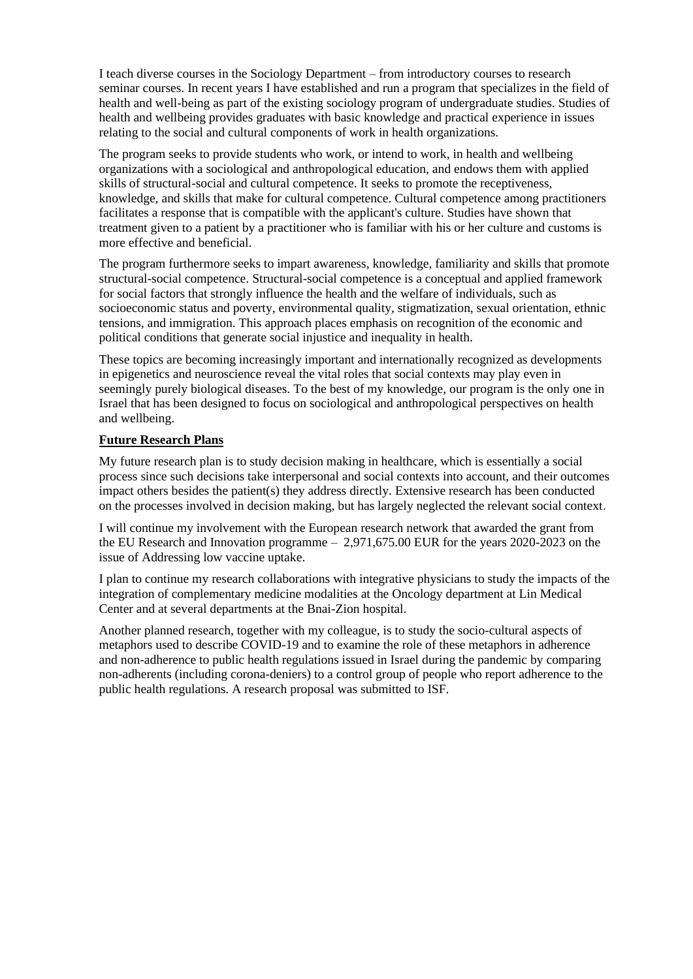I teach diverse courses in the Sociology Department – from introductory courses to research seminar courses. In recent years I have established and run a program that specializes in the field of health and well-being as part of the existing sociology program of undergraduate studies. Studies of health and wellbeing provides graduates with basic knowledge and practical experience in issues relating to the social and cultural components of work in health organizations.

The program seeks to provide students who work, or intend to work, in health and wellbeing organizations with a sociological and anthropological education, and endows them with applied skills of structural-social and cultural competence. It seeks to promote the receptiveness, knowledge, and skills that make for cultural competence. Cultural competence among practitioners facilitates a response that is compatible with the applicant's culture. Studies have shown that treatment given to a patient by a practitioner who is familiar with his or her culture and customs is more effective and beneficial.

The program furthermore seeks to impart awareness, knowledge, familiarity and skills that promote structural-social competence. Structural-social competence is a conceptual and applied framework for social factors that strongly influence the health and the welfare of individuals, such as socioeconomic status and poverty, environmental quality, stigmatization, sexual orientation, ethnic tensions, and immigration. This approach places emphasis on recognition of the economic and political conditions that generate social injustice and inequality in health.

These topics are becoming increasingly important and internationally recognized as developments in epigenetics and neuroscience reveal the vital roles that social contexts may play even in seemingly purely biological diseases. To the best of my knowledge, our program is the only one in Israel that has been designed to focus on sociological and anthropological perspectives on health and wellbeing.

## **Future Research Plans**

My future research plan is to study decision making in healthcare, which is essentially a social process since such decisions take interpersonal and social contexts into account, and their outcomes impact others besides the patient(s) they address directly. Extensive research has been conducted on the processes involved in decision making, but has largely neglected the relevant social context.

I will continue my involvement with the European research network that awarded the grant from the EU Research and Innovation programme – 2,971,675.00 EUR for the years 2020-2023 on the issue of Addressing low vaccine uptake.

I plan to continue my research collaborations with integrative physicians to study the impacts of the integration of complementary medicine modalities at the Oncology department at Lin Medical Center and at several departments at the Bnai-Zion hospital.

Another planned research, together with my colleague, is to study the socio-cultural aspects of metaphors used to describe COVID-19 and to examine the role of these metaphors in adherence and non-adherence to public health regulations issued in Israel during the pandemic by comparing non-adherents (including corona-deniers) to a control group of people who report adherence to the public health regulations. A research proposal was submitted to ISF.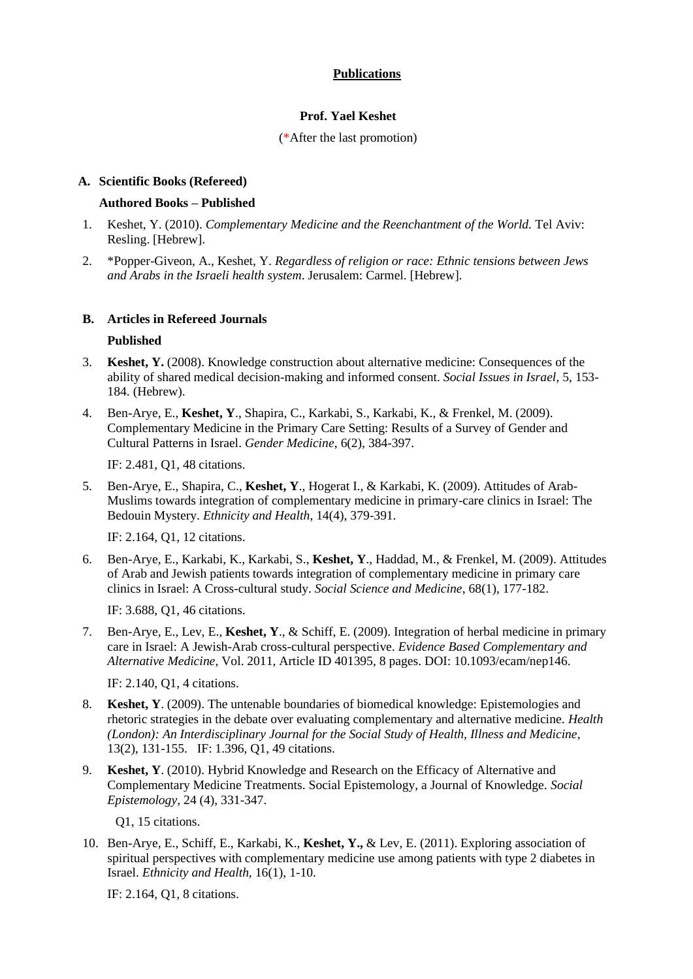## **Publications**

## **Prof. Yael Keshet**

#### (\*After the last promotion)

#### **A. Scientific Books (Refereed)**

#### **Authored Books – Published**

- 1. Keshet, Y. (2010). *Complementary Medicine and the Reenchantment of the World.* Tel Aviv: Resling. [Hebrew].
- 2. \*Popper-Giveon, A., Keshet, Y. *Regardless of religion or race: Ethnic tensions between Jews and Arabs in the Israeli health system*. Jerusalem: Carmel. [Hebrew].

#### **B. Articles in Refereed Journals**

#### **Published**

- 3. **Keshet, Y.** (2008). Knowledge construction about alternative medicine: Consequences of the ability of shared medical decision-making and informed consent. *Social Issues in Israel*, 5, 153- 184. (Hebrew).
- 4. Ben-Arye, E., **Keshet, Y**., Shapira, C., Karkabi, S., Karkabi, K., & Frenkel, M. (2009). Complementary Medicine in the Primary Care Setting: Results of a Survey of Gender and Cultural Patterns in Israel. *Gender Medicine*, 6(2), 384-397.

IF: 2.481, Q1, 48 citations.

5. Ben-Arye, E., Shapira, C., **Keshet, Y**., Hogerat I., & Karkabi, K. (2009). Attitudes of Arab-Muslims towards integration of complementary medicine in primary-care clinics in Israel: The Bedouin Mystery. *Ethnicity and Health*, 14(4), 379-391.

IF: 2.164, Q1, 12 citations.

6. Ben-Arye, E., Karkabi, K., Karkabi, S., **Keshet, Y**., Haddad, M., & Frenkel, M. (2009). Attitudes of Arab and Jewish patients towards integration of complementary medicine in primary care clinics in Israel: A Cross-cultural study. *Social Science and Medicine*, 68(1), 177-182.

IF: 3.688, Q1, 46 citations.

7. Ben-Arye, E., Lev, E., **Keshet, Y**., & Schiff, E. (2009). Integration of herbal medicine in primary care in Israel: A Jewish-Arab cross-cultural perspective. *Evidence Based Complementary and Alternative Medicine*, Vol. 2011, Article ID 401395, 8 pages. DOI: 10.1093/ecam/nep146.

IF: 2.140, Q1, 4 citations.

- 8. **Keshet, Y**. (2009). The untenable boundaries of biomedical knowledge: Epistemologies and rhetoric strategies in the debate over evaluating complementary and alternative medicine. *Health (London): An Interdisciplinary Journal for the Social Study of Health, Illness and Medicine*, 13(2), 131-155. IF: 1.396, Q1, 49 citations.
- 9. **Keshet, Y**. (2010). Hybrid Knowledge and Research on the Efficacy of Alternative and Complementary Medicine Treatments. Social Epistemology, a Journal of Knowledge. *Social Epistemology,* 24 (4), 331-347.

Q1, 15 citations.

10. Ben-Arye, E., Schiff, E., Karkabi, K., **Keshet, Y.,** & Lev, E. (2011). Exploring association of spiritual perspectives with complementary medicine use among patients with type 2 diabetes in Israel. *Ethnicity and Health,* 16(1), 1-10.

IF: 2.164, Q1, 8 citations.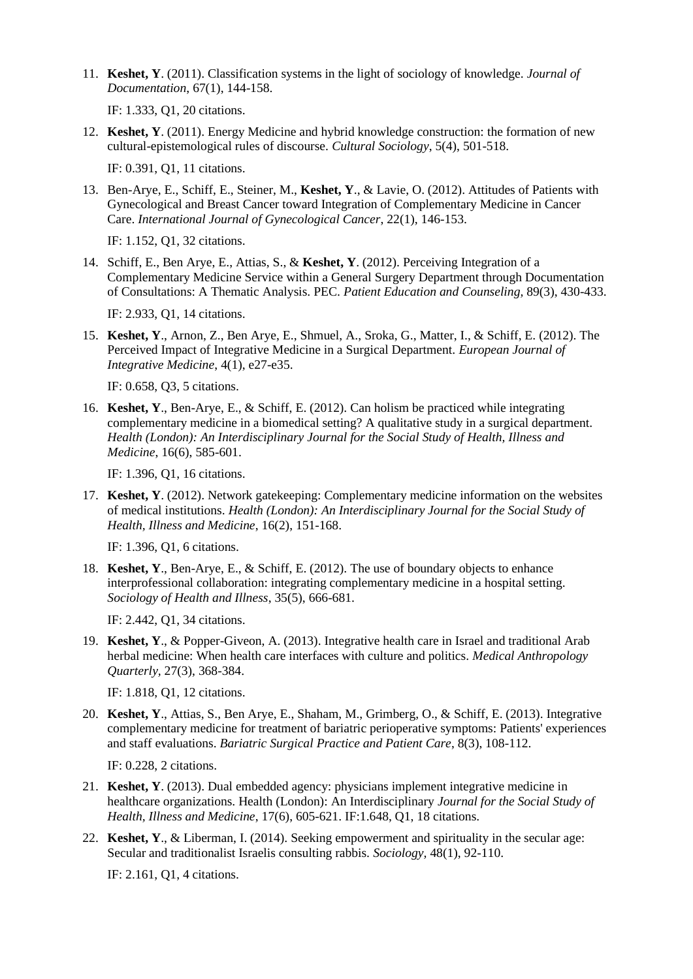11. **Keshet, Y**. (2011). Classification systems in the light of sociology of knowledge. *Journal of Documentation*, 67(1), 144-158.

IF: 1.333, Q1, 20 citations.

12. **Keshet, Y**. (2011). Energy Medicine and hybrid knowledge construction: the formation of new cultural-epistemological rules of discourse. *Cultural Sociology*, 5(4), 501-518.

IF: 0.391, Q1, 11 citations.

13. Ben-Arye, E., Schiff, E., Steiner, M., **Keshet, Y**., & Lavie, O. (2012). Attitudes of Patients with Gynecological and Breast Cancer toward Integration of Complementary Medicine in Cancer Care. *International Journal of Gynecological Cancer*, 22(1), 146-153.

IF: 1.152, Q1, 32 citations.

14. Schiff, E., Ben Arye, E., Attias, S., & **Keshet, Y**. (2012). Perceiving Integration of a Complementary Medicine Service within a General Surgery Department through Documentation of Consultations: A Thematic Analysis. PEC. *Patient Education and Counseling,* 89(3), 430-433.

IF: 2.933, Q1, 14 citations.

15. **Keshet, Y**., Arnon, Z., Ben Arye, E., Shmuel, A., Sroka, G., Matter, I., & Schiff, E. (2012). The Perceived Impact of Integrative Medicine in a Surgical Department. *European Journal of Integrative Medicine*, 4(1), e27-e35.

IF: 0.658, Q3, 5 citations.

16. **Keshet, Y**., Ben-Arye, E., & Schiff, E. (2012). Can holism be practiced while integrating complementary medicine in a biomedical setting? A qualitative study in a surgical department. *Health (London): An Interdisciplinary Journal for the Social Study of Health, Illness and Medicine*, 16(6), 585-601.

IF: 1.396, Q1, 16 citations.

17. **Keshet, Y**. (2012). Network gatekeeping: Complementary medicine information on the websites of medical institutions. *Health (London): An Interdisciplinary Journal for the Social Study of Health, Illness and Medicine*, 16(2), 151-168.

IF: 1.396, Q1, 6 citations.

18. **Keshet, Y**., Ben-Arye, E., & Schiff, E. (2012). The use of boundary objects to enhance interprofessional collaboration: integrating complementary medicine in a hospital setting. *Sociology of Health and Illness*, 35(5), 666-681.

IF: 2.442, Q1, 34 citations.

19. **Keshet, Y**., & Popper-Giveon, A. (2013). Integrative health care in Israel and traditional Arab herbal medicine: When health care interfaces with culture and politics. *Medical Anthropology Quarterly,* 27(3), 368-384.

IF: 1.818, Q1, 12 citations.

20. **Keshet, Y**., Attias, S., Ben Arye, E., Shaham, M., Grimberg, O., & Schiff, E. (2013). Integrative complementary medicine for treatment of bariatric perioperative symptoms: Patients' experiences and staff evaluations. *Bariatric Surgical Practice and Patient Care*, 8(3), 108-112.

IF: 0.228, 2 citations.

- 21. **Keshet, Y**. (2013). Dual embedded agency: physicians implement integrative medicine in healthcare organizations. Health (London): An Interdisciplinary *Journal for the Social Study of Health, Illness and Medicine*, 17(6), 605-621. IF:1.648, Q1, 18 citations.
- 22. **Keshet, Y**., & Liberman, I. (2014). Seeking empowerment and spirituality in the secular age: Secular and traditionalist Israelis consulting rabbis. *Sociology,* 48(1), 92-110.

IF: 2.161, Q1, 4 citations.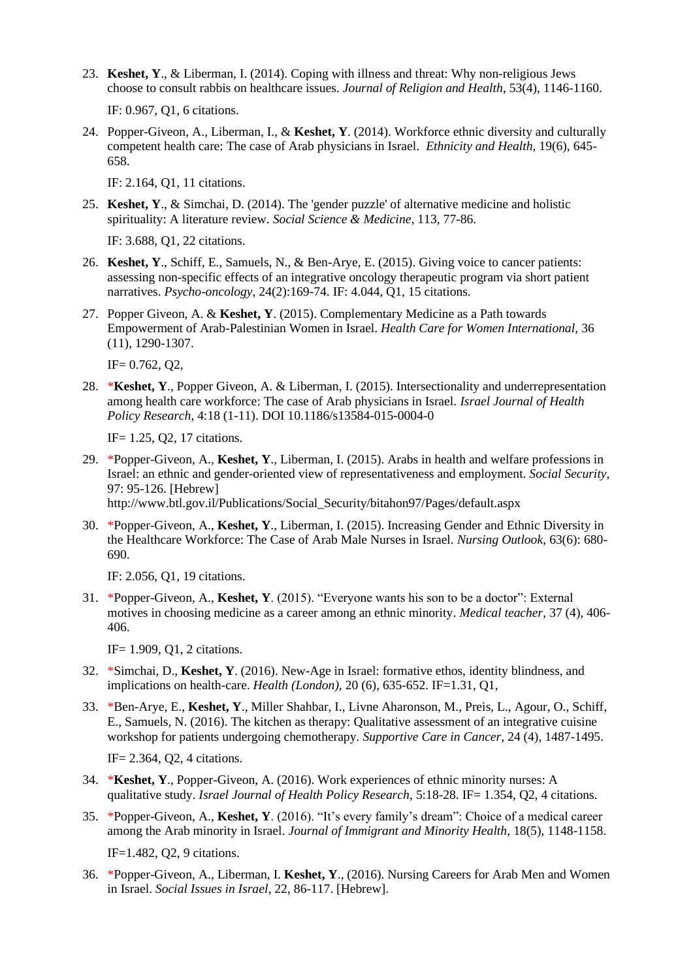23. **Keshet, Y**., & Liberman, I. (2014). Coping with illness and threat: Why non-religious Jews choose to consult rabbis on healthcare issues. *Journal of Religion and Health*, 53(4), 1146-1160.

IF: 0.967, Q1, 6 citations.

24. Popper-Giveon, A., Liberman, I., & **Keshet, Y**. (2014). Workforce ethnic diversity and culturally competent health care: The case of Arab physicians in Israel. *Ethnicity and Health*, 19(6), 645- 658.

IF: 2.164, Q1, 11 citations.

25. **Keshet, Y**., & Simchai, D. (2014). The 'gender puzzle' of alternative medicine and holistic spirituality: A literature review. *Social Science & Medicine*, 113, 77-86.

IF: 3.688, Q1, 22 citations.

- 26. **Keshet, Y**., Schiff, E., Samuels, N., & Ben-Arye, E. (2015). Giving voice to cancer patients: assessing non-specific effects of an integrative oncology therapeutic program via short patient narratives. *Psycho-oncology*, 24(2):169-74. IF: 4.044, Q1, 15 citations.
- 27. Popper Giveon, A. & **Keshet, Y**. (2015). Complementary Medicine as a Path towards Empowerment of Arab-Palestinian Women in Israel. *Health Care for Women International,* 36 (11), 1290-1307.

 $IF = 0.762$ ,  $Q2$ ,

28. \***Keshet, Y**., Popper Giveon, A. & Liberman, I. (2015). Intersectionality and underrepresentation among health care workforce: The case of Arab physicians in Israel. *Israel Journal of Health Policy Research*, 4:18 (1-11). DOI 10.1186/s13584-015-0004-0

IF= 1.25, Q2, 17 citations.

- 29. \*Popper-Giveon, A., **Keshet, Y**., Liberman, I. (2015). Arabs in health and welfare professions in Israel: an ethnic and gender-oriented view of representativeness and employment. *Social Security*, 97: 95-126. [Hebrew] http://www.btl.gov.il/Publications/Social\_Security/bitahon97/Pages/default.aspx
- 30. \*Popper-Giveon, A., **Keshet, Y**., Liberman, I. (2015). Increasing Gender and Ethnic Diversity in the Healthcare Workforce: The Case of Arab Male Nurses in Israel. *Nursing Outlook*, 63(6): 680- 690.

IF: 2.056, Q1, 19 citations.

31. \*Popper-Giveon, A., **Keshet, Y**. (2015). "Everyone wants his son to be a doctor": External motives in choosing medicine as a career among an ethnic minority. *Medical teacher*, 37 (4), 406- 406.

IF= 1.909, Q1, 2 citations.

- 32. \*Simchai, D., **Keshet, Y**. (2016). New-Age in Israel: formative ethos, identity blindness, and implications on health-care. *Health (London),* 20 (6), 635-652. IF=1.31, Q1,
- 33. \*Ben-Arye, E., **Keshet, Y**., Miller Shahbar, I., Livne Aharonson, M., Preis, L., Agour, O., Schiff, E., Samuels, N. (2016). The kitchen as therapy: Qualitative assessment of an integrative cuisine workshop for patients undergoing chemotherapy. *Supportive Care in Cancer,* 24 (4), 1487-1495.

IF= 2.364, Q2, 4 citations.

- 34. \***Keshet, Y**., Popper-Giveon, A. (2016). Work experiences of ethnic minority nurses: A qualitative study. *Israel Journal of Health Policy Research*, 5:18-28. IF= 1.354, Q2, 4 citations.
- 35. \*Popper-Giveon, A., **Keshet, Y**. (2016). "It's every family's dream": Choice of a medical career among the Arab minority in Israel. *Journal of Immigrant and Minority Health*, 18(5), 1148-1158. IF=1.482, Q2, 9 citations.
- 36. \*Popper-Giveon, A., Liberman, I. **Keshet, Y**., (2016). Nursing Careers for Arab Men and Women in Israel. *Social Issues in Israel*, 22, 86-117. [Hebrew].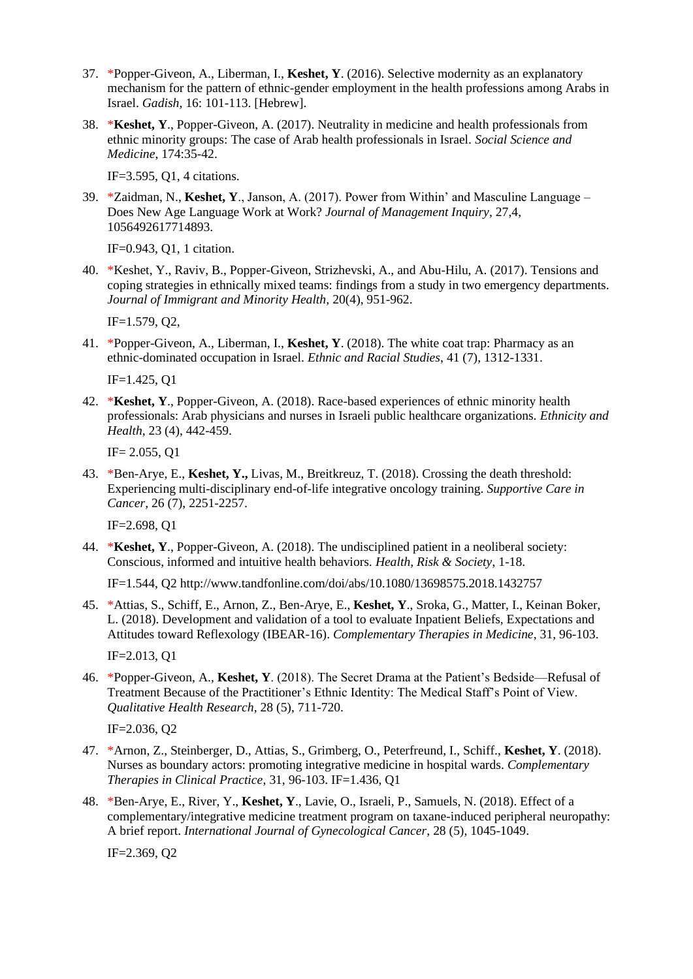- 37. \*Popper-Giveon, A., Liberman, I., **Keshet, Y**. (2016). Selective modernity as an explanatory mechanism for the pattern of ethnic-gender employment in the health professions among Arabs in Israel. *Gadish,* 16: 101-113. [Hebrew].
- 38. \***Keshet, Y**., Popper-Giveon, A. (2017). Neutrality in medicine and health professionals from ethnic minority groups: The case of Arab health professionals in Israel. *Social Science and Medicine*, 174:35-42.

IF=3.595, Q1, 4 citations.

39. \*Zaidman, N., **Keshet, Y**., Janson, A. (2017). Power from Within' and Masculine Language – Does New Age Language Work at Work? *Journal of Management Inquiry*, 27,4, 1056492617714893.

IF=0.943, Q1, 1 citation.

40. \*Keshet, Y., Raviv, B., Popper-Giveon, Strizhevski, A., and Abu-Hilu, A. (2017). Tensions and coping strategies in ethnically mixed teams: findings from a study in two emergency departments. *Journal of Immigrant and Minority Health,* 20(4), 951-962.

IF=1.579, Q2,

41. \*Popper-Giveon, A., Liberman, I., **Keshet, Y**. (2018). The white coat trap: Pharmacy as an ethnic-dominated occupation in Israel. *Ethnic and Racial Studies*, 41 (7), 1312-1331.

IF=1.425, Q1

42. \***Keshet, Y**., Popper-Giveon, A. (2018). Race-based experiences of ethnic minority health professionals: Arab physicians and nurses in Israeli public healthcare organizations. *Ethnicity and Health*, 23 (4), 442-459.

IF= 2.055, Q1

43. \*Ben-Arye, E., **Keshet, Y.,** Livas, M., Breitkreuz, T. (2018). Crossing the death threshold: Experiencing multi-disciplinary end-of-life integrative oncology training. *Supportive Care in Cancer,* 26 (7), 2251-2257.

IF=2.698, Q1

44. \***Keshet, Y**., Popper-Giveon, A. (2018). The undisciplined patient in a neoliberal society: Conscious, informed and intuitive health behaviors. *Health, Risk & Society*, 1-18.

IF=1.544, Q2 http://www.tandfonline.com/doi/abs/10.1080/13698575.2018.1432757

45. \*Attias, S., Schiff, E., Arnon, Z., Ben-Arye, E., **Keshet, Y**., Sroka, G., Matter, I., Keinan Boker, L. (2018). Development and validation of a tool to evaluate Inpatient Beliefs, Expectations and Attitudes toward Reflexology (IBEAR-16). *Complementary Therapies in Medicine*, 31, 96-103.

IF=2.013, Q1

46. \*Popper-Giveon, A., **Keshet, Y**. (2018). The Secret Drama at the Patient's Bedside—Refusal of Treatment Because of the Practitioner's Ethnic Identity: The Medical Staff's Point of View. *Qualitative Health Research*, 28 (5), 711-720.

IF=2.036, Q2

- 47. \*Arnon, Z., Steinberger, D., Attias, S., Grimberg, O., Peterfreund, I., Schiff., **Keshet, Y**. (2018). Nurses as boundary actors: promoting integrative medicine in hospital wards. *Complementary Therapies in Clinical Practice*, 31, 96-103. IF=1.436, Q1
- 48. \*Ben-Arye, E., River, Y., **Keshet, Y**., Lavie, O., Israeli, P., Samuels, N. (2018). Effect of a complementary/integrative medicine treatment program on taxane-induced peripheral neuropathy: A brief report. *International Journal of Gynecological Cancer*, 28 (5), 1045-1049.

IF=2.369, Q2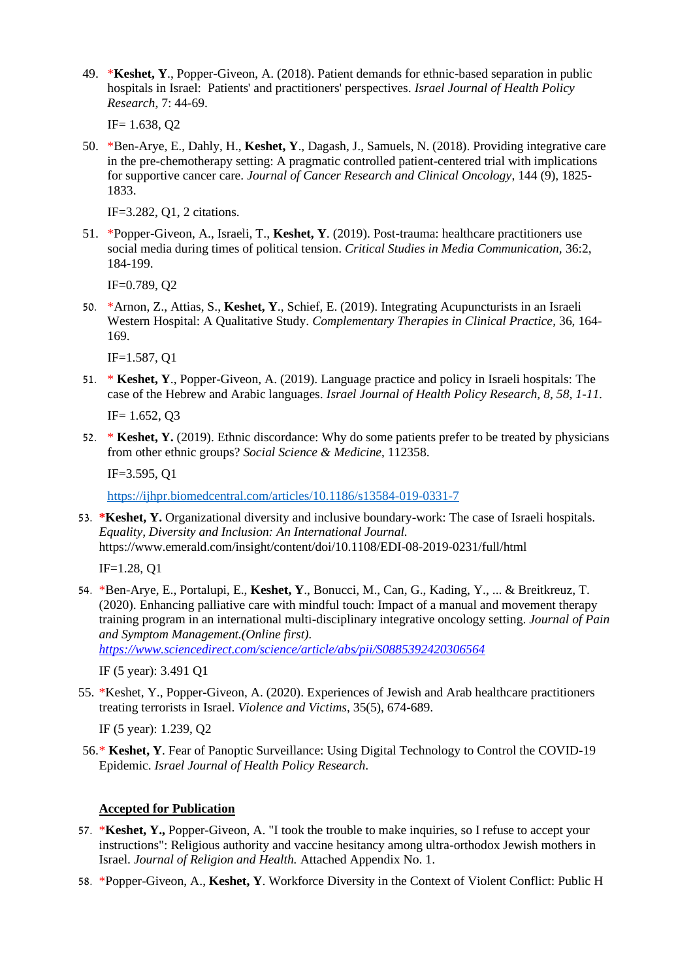49. \***Keshet, Y**., Popper-Giveon, A. (2018). Patient demands for ethnic-based separation in public hospitals in Israel: Patients' and practitioners' perspectives. *Israel Journal of Health Policy Research*, 7: 44-69.

IF= 1.638, Q2

50. \*Ben-Arye, E., Dahly, H., **Keshet, Y**., Dagash, J., Samuels, N. (2018). Providing integrative care in the pre-chemotherapy setting: A pragmatic controlled patient-centered trial with implications for supportive cancer care. *Journal of Cancer Research and Clinical Oncology*, 144 (9), 1825- 1833.

IF=3.282, Q1, 2 citations.

51. \*Popper-Giveon, A., Israeli, T., **Keshet, Y**. (2019). Post-trauma: healthcare practitioners use social media during times of political tension. *Critical Studies in Media Communication,* 36:2, 184-199.

IF=0.789, Q2

50. \*Arnon, Z., Attias, S., **Keshet, Y**., Schief, E. (2019). Integrating Acupuncturists in an Israeli Western Hospital: A Qualitative Study. *Complementary Therapies in Clinical Practice*, 36, 164- 169.

IF=1.587, Q1

51. \* **Keshet, Y**., Popper-Giveon, A. (2019). Language practice and policy in Israeli hospitals: The case of the Hebrew and Arabic languages. *Israel Journal of Health Policy Research, 8, 58, 1-11.* 

IF= 1.652, Q3

52. \* **Keshet, Y.** (2019). Ethnic discordance: Why do some patients prefer to be treated by physicians from other ethnic groups? *Social Science & Medicine*, 112358.

IF=3.595, Q1

<https://ijhpr.biomedcentral.com/articles/10.1186/s13584-019-0331-7>

53. **\*Keshet, Y.** Organizational diversity and inclusive boundary-work: The case of Israeli hospitals. *Equality, Diversity and Inclusion: An International Journal.* https://www.emerald.com/insight/content/doi/10.1108/EDI-08-2019-0231/full/html

IF=1.28, Q1

54. \*Ben-Arye, E., Portalupi, E., **Keshet, Y**., Bonucci, M., Can, G., Kading, Y., ... & Breitkreuz, T. (2020). Enhancing palliative care with mindful touch: Impact of a manual and movement therapy training program in an international multi-disciplinary integrative oncology setting. *Journal of Pain and Symptom Management.(Online first).* 

*<https://www.sciencedirect.com/science/article/abs/pii/S0885392420306564>*

IF (5 year): 3.491 Q1

55. \*Keshet, Y., Popper-Giveon, A. (2020). Experiences of Jewish and Arab healthcare practitioners treating terrorists in Israel. *Violence and Victims*, 35(5), 674-689.

IF (5 year): 1.239, Q2

56.\* **Keshet, Y**. Fear of Panoptic Surveillance: Using Digital Technology to Control the COVID-19 Epidemic. *Israel Journal of Health Policy Research*.

#### **Accepted for Publication**

- 57. \***Keshet, Y.,** Popper-Giveon, A. "I took the trouble to make inquiries, so I refuse to accept your instructions": Religious authority and vaccine hesitancy among ultra-orthodox Jewish mothers in Israel. *Journal of Religion and Health.* Attached Appendix No. 1.
- 58. \*Popper-Giveon, A., **Keshet, Y**. Workforce Diversity in the Context of Violent Conflict: Public H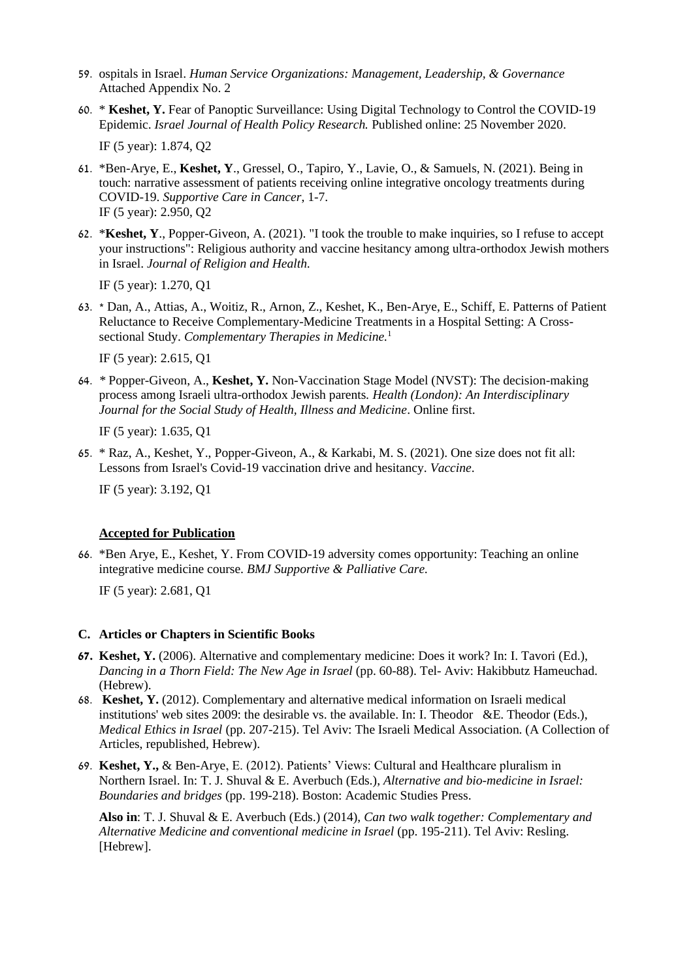- 59. ospitals in Israel. *Human Service Organizations: Management, Leadership, & Governance* Attached Appendix No. 2
- 60. \* **Keshet, Y.** Fear of Panoptic Surveillance: Using Digital Technology to Control the COVID-19 Epidemic. *Israel Journal of Health Policy Research.* Published online: 25 November 2020.

IF (5 year): 1.874, Q2

- 61. \*Ben-Arye, E., **Keshet, Y**., Gressel, O., Tapiro, Y., Lavie, O., & Samuels, N. (2021). Being in touch: narrative assessment of patients receiving online integrative oncology treatments during COVID-19. *Supportive Care in Cancer*, 1-7. IF (5 year): 2.950, Q2
- 62. \***Keshet, Y**., Popper-Giveon, A. (2021). "I took the trouble to make inquiries, so I refuse to accept your instructions": Religious authority and vaccine hesitancy among ultra-orthodox Jewish mothers in Israel. *Journal of Religion and Health.*

IF (5 year): 1.270, Q1

63. \* Dan, A., Attias, A., Woitiz, R., Arnon, Z., Keshet, K., Ben-Arye, E., Schiff, E. Patterns of Patient Reluctance to Receive Complementary-Medicine Treatments in a Hospital Setting: A Crosssectional Study. *Complementary Therapies in Medicine.*<sup>1</sup>

IF (5 year): 2.615, Q1

64. *\** Popper-Giveon, A., **Keshet, Y.** Non-Vaccination Stage Model (NVST): The decision-making process among Israeli ultra-orthodox Jewish parents*. Health (London): An Interdisciplinary Journal for the Social Study of Health, Illness and Medicine*. Online first.

IF (5 year): 1.635, Q1

65. \* Raz, A., Keshet, Y., Popper-Giveon, A., & Karkabi, M. S. (2021). One size does not fit all: Lessons from Israel's Covid-19 vaccination drive and hesitancy. *Vaccine*.

IF (5 year): 3.192, Q1

## **Accepted for Publication**

66. \*Ben Arye, E., Keshet, Y. From COVID-19 adversity comes opportunity: Teaching an online integrative medicine course. *BMJ Supportive & Palliative Care.* 

IF (5 year): 2.681, Q1

#### **C. Articles or Chapters in Scientific Books**

- **67. Keshet, Y.** (2006). Alternative and complementary medicine: Does it work? In: I. Tavori (Ed.), *Dancing in a Thorn Field: The New Age in Israel* (pp. 60-88). Tel- Aviv: Hakibbutz Hameuchad. (Hebrew).
- 68. **Keshet, Y.** (2012). Complementary and alternative medical information on Israeli medical institutions' web sites 2009: the desirable vs. the available. In: I. Theodor &E. Theodor (Eds.), *Medical Ethics in Israel* (pp. 207-215). Tel Aviv: The Israeli Medical Association. (A Collection of Articles, republished, Hebrew).
- 69. **Keshet, Y.,** & Ben-Arye, E. (2012). Patients' Views: Cultural and Healthcare pluralism in Northern Israel. In: T. J. Shuval & E. Averbuch (Eds.), *Alternative and bio-medicine in Israel: Boundaries and bridges* (pp. 199-218). Boston: Academic Studies Press.

**Also in**: T. J. Shuval & E. Averbuch (Eds.) (2014), *Can two walk together: Complementary and Alternative Medicine and conventional medicine in Israel* (pp. 195-211). Tel Aviv: Resling. [Hebrew].